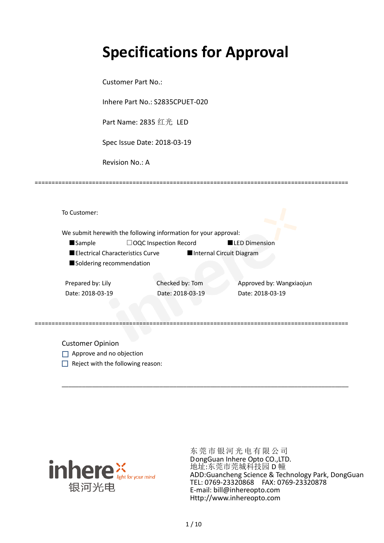# **Specifications for Approval**

Customer Part No.:

Inhere Part No.: S2835CPUET-020

Part Name: 2835 红光 LED

Spec Issue Date: 2018-03-19

Revision No.: A

|                                  | We submit herewith the following information for your approval: |                          |
|----------------------------------|-----------------------------------------------------------------|--------------------------|
| <b>Sample</b>                    | $\Box$ OQC Inspection Record                                    | <b>LED Dimension</b>     |
| Electrical Characteristics Curve |                                                                 | Internal Circuit Diagram |
| Soldering recommendation         |                                                                 |                          |
|                                  |                                                                 |                          |
| Prepared by: Lily                | Checked by: Tom                                                 | Approved by: Wangxiaojun |
| Date: 2018-03-19                 | Date: 2018-03-19                                                | Date: 2018-03-19         |
|                                  |                                                                 |                          |
|                                  |                                                                 |                          |

\_\_\_\_\_\_\_\_\_\_\_\_\_\_\_\_\_\_\_\_\_\_\_\_\_\_\_\_\_\_\_\_\_\_\_\_\_\_\_\_\_\_\_\_\_\_\_\_\_\_\_\_\_\_\_\_\_\_\_\_\_\_\_\_\_\_\_\_\_\_\_\_\_\_\_\_\_\_\_\_\_\_\_\_\_

=============================================================================================

Customer Opinion

- Approve and no objection
- $\Box$  Reject with the following reason:



东莞市银河光电有限公司 DongGuan Inhere Opto CO.,LTD. 地址:东莞市莞城科技园 D 幢 ADD:Guancheng Science & Technology Park, DongGuan TEL: 0769-23320868 FAX: 0769-23320878 E-mail: bill@inhereopto.com Http://www.inhereopto.com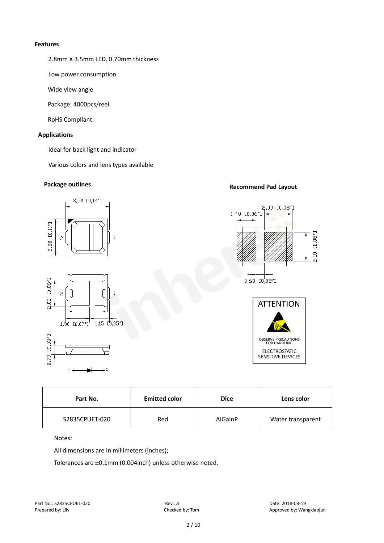#### **Features**

2.8mmⅹ3.5mm LED, 0.70mm thickness

Low power consumption

Wide view angle

Package: 4000pcs/reel

RoHS Compliant

#### **Applications**

Ideal for back light and indicator

Various colors and lens types available

## **Package outlines Recommend Pad Layout**



| Part No.       | <b>Emitted color</b> | <b>Dice</b> | Lens color        |
|----------------|----------------------|-------------|-------------------|
| S2835CPUET-020 | Red                  | AlGaInP     | Water transparent |

Notes:

All dimensions are in millimeters (inches);

Tolerances are ±0.1mm (0.004inch) unless otherwise noted.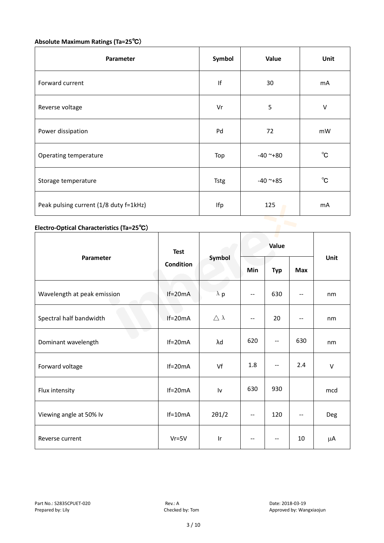### **Absolute Maximum Ratings (Ta=25**℃)

| Parameter                              | Symbol | Value      | Unit         |
|----------------------------------------|--------|------------|--------------|
| Forward current                        | f      | 30         | mA           |
| Reverse voltage                        | Vr     | 5          | $\vee$       |
| Power dissipation                      | Pd     | 72         | mW           |
| Operating temperature                  | Top    | $-40$ ~+80 | $^{\circ}$ C |
| Storage temperature                    | Tstg   | $-40$ ~+85 | $^{\circ}C$  |
| Peak pulsing current (1/8 duty f=1kHz) | Ifp    | 125        | mA           |

### **Electro-Optical Characteristics (Ta=25**℃)

|                             | <b>Test</b> | Symbol              | Value                    |                   |            |            |
|-----------------------------|-------------|---------------------|--------------------------|-------------------|------------|------------|
| Parameter                   | Condition   |                     | Min                      | <b>Typ</b>        | <b>Max</b> | Unit       |
| Wavelength at peak emission | $If=20mA$   | $\lambda$ p         | $\overline{\phantom{m}}$ | 630               | $-$        | nm         |
| Spectral half bandwidth     | $If=20mA$   | $\triangle \lambda$ | --                       | 20                | $- -$      | nm         |
| Dominant wavelength         | $If=20mA$   | λd                  | 620                      | --                | 630        | nm         |
| Forward voltage             | $If=20mA$   | Vf                  | 1.8                      | --                | 2.4        | $\vee$     |
| Flux intensity              | $If=20mA$   | Iv                  | 630                      | 930               |            | mcd        |
| Viewing angle at 50% lv     | $If=10mA$   | $2\theta$ 1/2       | --                       | 120               | $-$        | <b>Deg</b> |
| Reverse current             | $Vr = 5V$   | Ir                  | $\overline{\phantom{m}}$ | $\qquad \qquad -$ | 10         | μA         |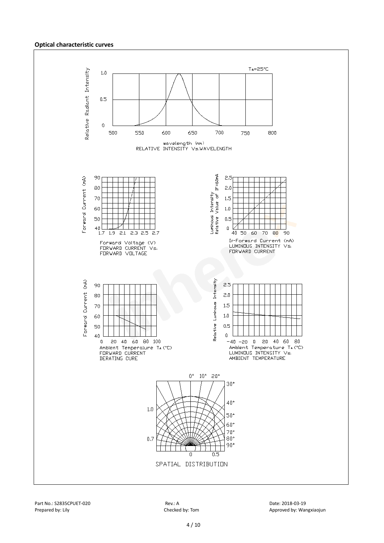#### **Optical characteristic curves**

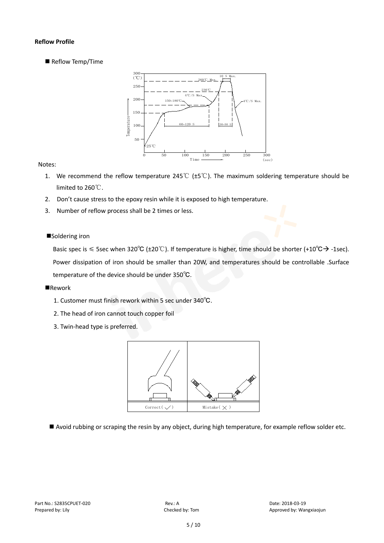#### **Reflow Profile**

Reflow Temp/Time



#### Notes:

- 1. We recommend the reflow temperature 245℃ (±5℃). The maximum soldering temperature should be limited to 260℃.
- 2. Don't cause stress to the epoxy resin while it is exposed to high temperature.
- 3. Number of reflow process shall be 2 times or less.

#### ■Soldering iron

Basic spec is  $\leq$  5sec when 320°C (±20°C). If temperature is higher, time should be shorter (+10°C $\rightarrow$ -1sec). Power dissipation of iron should be smaller than 20W, and temperatures should be controllable .Surface temperature of the device should be under 350℃.

#### **Rework**

- 1. Customer must finish rework within 5 sec under 340℃.
- 2. The head of iron cannot touch copper foil
- 3. Twin-head type is preferred.



Avoid rubbing or scraping the resin by any object, during high temperature, for example reflow solder etc.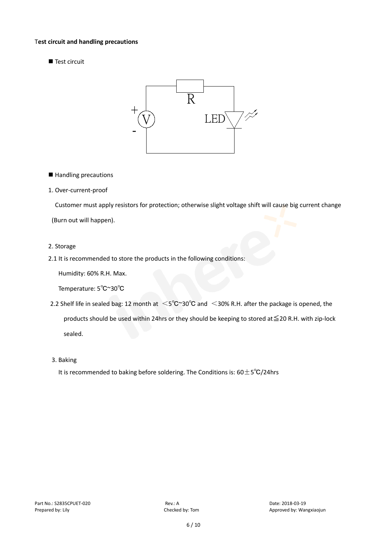#### T**est circuit and handling precautions**

Test circuit



■ Handling precautions

#### 1. Over-current-proof

Customer must apply resistors for protection; otherwise slight voltage shift will cause big current change

(Burn out will happen).

#### 2. Storage

2.1 It is recommended to store the products in the following conditions:

Humidity: 60% R.H. Max.

Temperature: 5℃~30℃

- 2.2 Shelf life in sealed bag: 12 month at <5℃~30°C and <30% R.H. after the package is opened, the products should be used within 24hrs or they should be keeping to stored at≦20 R.H. with zip-lock sealed.
- 3. Baking

It is recommended to baking before soldering. The Conditions is:  $60±5°C/24$ hrs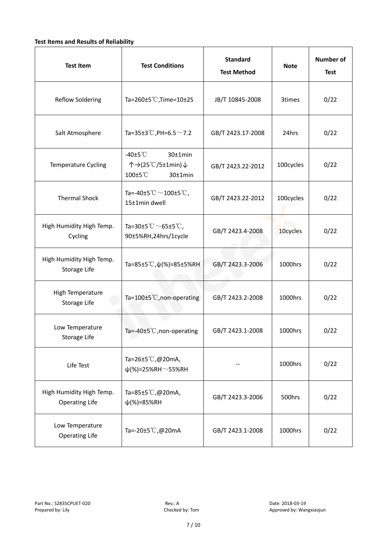#### **Test Items and Results of Reliability**

| <b>Test Item</b>                                  | <b>Standard</b><br><b>Test Conditions</b><br><b>Test Method</b>                |                                | <b>Note</b> | <b>Number of</b><br><b>Test</b> |
|---------------------------------------------------|--------------------------------------------------------------------------------|--------------------------------|-------------|---------------------------------|
| <b>Reflow Soldering</b>                           | Ta=260 $\pm$ 5 °C, Time=10 $\pm$ 2S                                            | JB/T 10845-2008                |             | 0/22                            |
| Salt Atmosphere                                   | Ta=35±3°C, PH=6.5 $\sim$ 7.2<br>GB/T 2423.17-2008                              |                                | 24hrs       | 0/22                            |
| Temperature Cycling                               | -40 $±5^{\circ}$ C<br>$30±1$ min<br>个→(25℃/5±1min)↓<br>100±5°C<br>$30±1$ min   | GB/T 2423.22-2012              | 100cycles   | 0/22                            |
| <b>Thermal Shock</b>                              | Ta=-40±5 $\degree \text{C}$ $\sim$ 100±5 $\degree \text{C}$ ,<br>15±1min dwell | 100cycles<br>GB/T 2423.22-2012 |             | 0/22                            |
| High Humidity High Temp.<br>Cycling               | Ta=30±5 °C $\sim$ 65±5 °C,<br>90±5%RH,24hrs/1cycle                             | GB/T 2423.4-2008               |             | 0/22                            |
| High Humidity High Temp.<br>Storage Life          | Ta=85±5 °C, $\psi$ (%)=85±5%RH                                                 | GB/T 2423.3-2006               | 1000hrs     | 0/22                            |
| High Temperature<br><b>Storage Life</b>           | Ta=100±5°C, non-operating                                                      | GB/T 2423.2-2008               | 1000hrs     | 0/22                            |
| Low Temperature<br>Storage Life                   | Ta=-40±5℃, non-operating                                                       | GB/T 2423.1-2008               | 1000hrs     | 0/22                            |
| Life Test                                         | Ta=26±5℃,@20mA,<br>$\psi$ (%)=25%RH~55%RH                                      |                                |             | 0/22                            |
| High Humidity High Temp.<br><b>Operating Life</b> | Ta=85±5 $\degree$ C, @20mA,<br>$\psi$ (%)=85%RH                                | GB/T 2423.3-2006               | 500hrs      | 0/22                            |
| Low Temperature<br><b>Operating Life</b>          | Ta=-20±5℃,@20mA                                                                | GB/T 2423.1-2008               | 1000hrs     | 0/22                            |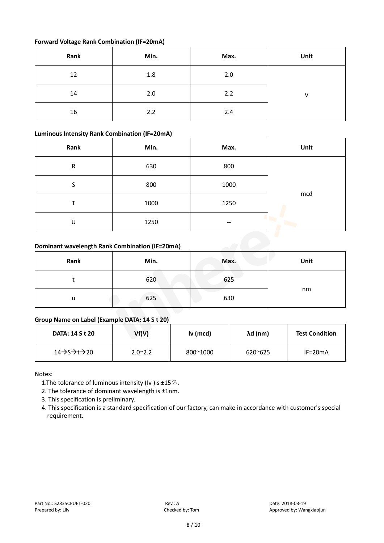#### **Forward Voltage Rank Combination (IF=20mA)**

| Rank | Min. | Max. | Unit |
|------|------|------|------|
| 12   | 1.8  | 2.0  |      |
| 14   | 2.0  | 2.2  |      |
| 16   | 2.2  | 2.4  |      |

#### **Luminous Intensity Rank Combination (IF=20mA)**

| Rank | Min. | Max. | Unit |
|------|------|------|------|
| R    | 630  | 800  |      |
| S    | 800  | 1000 |      |
|      | 1000 | 1250 | mcd  |
| U    | 1250 | --   | ۰    |

#### **Dominant wavelength Rank Combination (IF=20mA)**

| Rank | Min. | Max. | Unit |
|------|------|------|------|
|      | 620  | 625  |      |
| u    | 625  | 630  | nm   |

### **Group Name on Label (Example DATA: 14 S t 20)**

| <b>DATA: 14 S t 20</b> | Vf(V)            | Iv (mcd) | λd (nm)          | <b>Test Condition</b> |
|------------------------|------------------|----------|------------------|-----------------------|
| 14→S→t→20              | $2.0^{\circ}2.2$ | 800~1000 | $620^{\circ}625$ | $IF=20mA$             |

Notes:

- 1. The tolerance of luminous intensity (Iv ) is  $\pm 15\%$ .
- 2. The tolerance of dominant wavelength is ±1nm.
- 3. This specification is preliminary.
- 4. This specification is a standard specification of our factory, can make in accordance with customer's special requirement.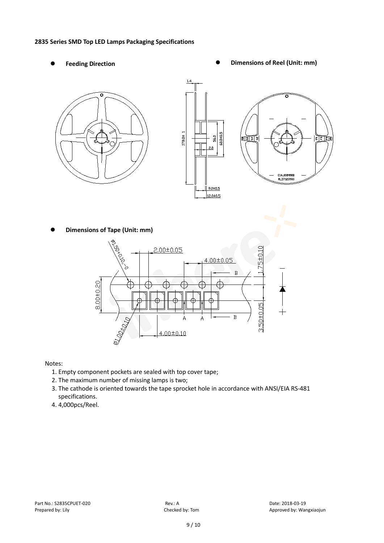#### **2835 Series SMD Top LED Lamps Packaging Specifications**

- 
- Feeding Direction **Constanting Construction Constanting Operations Construction Constanting Construction Constanting Construction**





**Dimensions of Tape (Unit: mm)**



Notes:

- 1. Empty component pockets are sealed with top cover tape;
- 2. The maximum number of missing lamps is two;
- 3. The cathode is oriented towards the tape sprocket hole in accordance with ANSI/EIA RS-481 specifications.
- 4. 4,000pcs/Reel.